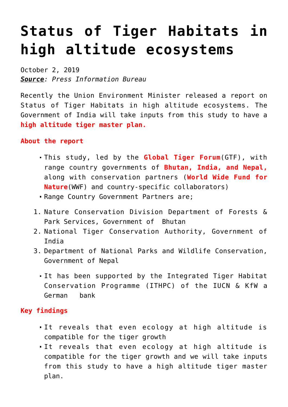## **[Status of Tiger Habitats in](https://journalsofindia.com/status-of-tiger-habitats-in-high-altitude-ecosystems/) [high altitude ecosystems](https://journalsofindia.com/status-of-tiger-habitats-in-high-altitude-ecosystems/)**

October 2, 2019 *Source: Press Information Bureau*

Recently the Union Environment Minister released a report on Status of Tiger Habitats in high altitude ecosystems. The Government of India will take inputs from this study to have a **high altitude tiger master plan.**

**About the report** 

- This study, led by the **Global Tiger Forum**(GTF), with range country governments of **Bhutan, India, and Nepal,** along with conservation partners (**World Wide Fund for Nature**(WWF) and country-specific collaborators)
- Range Country Government Partners are;
- 1. Nature Conservation Division Department of Forests & Park Services, Government of Bhutan
- 2. National Tiger Conservation Authority, Government of India
- 3. Department of National Parks and Wildlife Conservation, Government of Nepal
	- It has been supported by the Integrated Tiger Habitat Conservation Programme (ITHPC) of the IUCN & KfW a German bank

## **Key findings**

- It reveals that even ecology at high altitude is compatible for the tiger growth
- It reveals that even ecology at high altitude is compatible for the tiger growth and we will take inputs from this study to have a high altitude tiger master plan.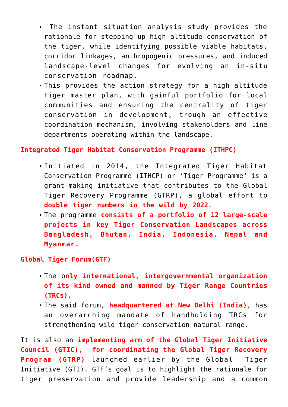- The instant situation analysis study provides the rationale for stepping up high altitude conservation of the tiger, while identifying possible viable habitats, corridor linkages, anthropogenic pressures, and induced landscape-level changes for evolving an in-situ conservation roadmap.
- This provides the action strategy for a high altitude tiger master plan, with gainful portfolio for local communities and ensuring the centrality of tiger conservation in development, trough an effective coordination mechanism, involving stakeholders and line departments operating within the landscape.

## **Integrated Tiger Habitat Conservation Programme (ITHPC)**

- Initiated in 2014, the Integrated Tiger Habitat Conservation Programme (ITHCP) or 'Tiger Programme' is a grant-making initiative that contributes to the Global Tiger Recovery Programme (GTRP), a global effort to **double tiger numbers in the wild by 2022**.
- The programme **consists of a portfolio of 12 large-scale projects in key Tiger Conservation Landscapes across Bangladesh, Bhutan, India, Indonesia, Nepal and Myanmar.**

## **Global Tiger Forum(GTF)**

- The o**nly international, intergovernmental organization of its kind owned and manned by Tiger Range Countries (TRCs).**
- The said forum, **headquartered at New Delhi (India)**, has an overarching mandate of handholding TRCs for strengthening wild tiger conservation natural range.

It is also an **implementing arm of the Global Tiger Initiative Council (GTIC), for coordinating the Global Tiger Recovery Program (GTRP)** launched earlier by the Global Tiger Initiative (GTI). GTF's goal is to highlight the rationale for tiger preservation and provide leadership and a common